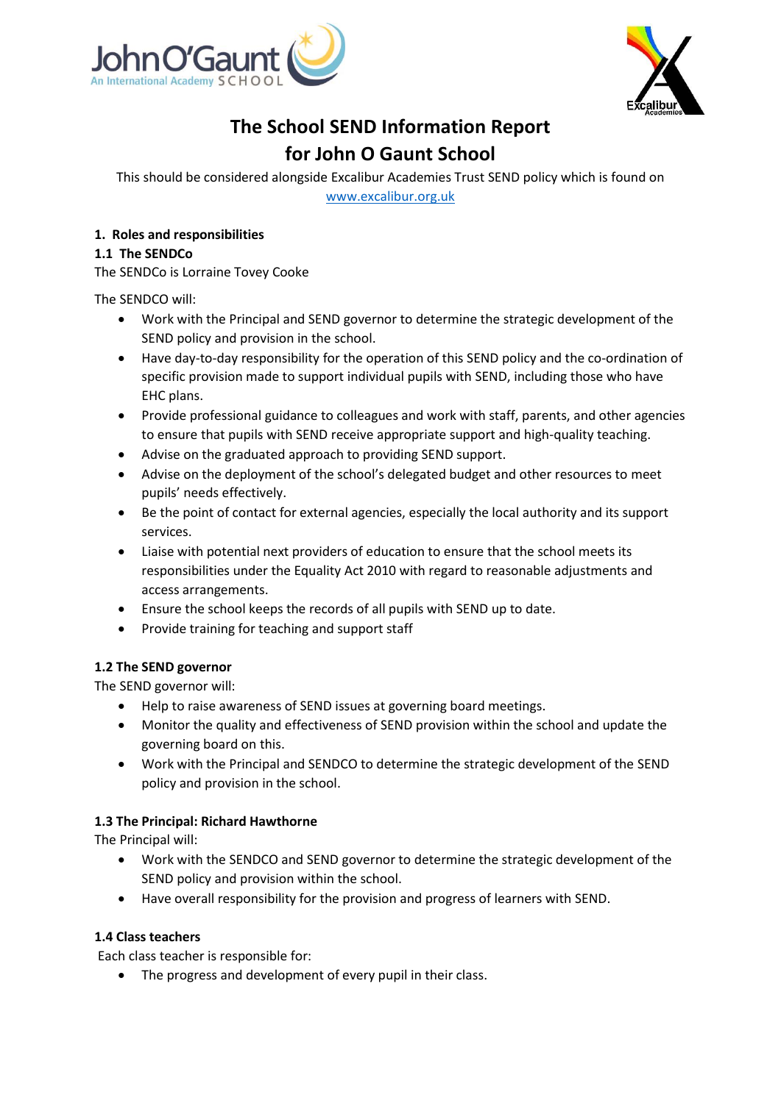



# **The School SEND Information Report for John O Gaunt School**

This should be considered alongside Excalibur Academies Trust SEND policy which is found on [www.excalibur.org.uk](http://www.excalibur.org.uk/)

# **1. Roles and responsibilities**

# **1.1 The SENDCo**

The SENDCo is Lorraine Tovey Cooke

The SENDCO will:

- Work with the Principal and SEND governor to determine the strategic development of the SEND policy and provision in the school.
- Have day-to-day responsibility for the operation of this SEND policy and the co-ordination of specific provision made to support individual pupils with SEND, including those who have EHC plans.
- Provide professional guidance to colleagues and work with staff, parents, and other agencies to ensure that pupils with SEND receive appropriate support and high-quality teaching.
- Advise on the graduated approach to providing SEND support.
- Advise on the deployment of the school's delegated budget and other resources to meet pupils' needs effectively.
- Be the point of contact for external agencies, especially the local authority and its support services.
- Liaise with potential next providers of education to ensure that the school meets its responsibilities under the Equality Act 2010 with regard to reasonable adjustments and access arrangements.
- Ensure the school keeps the records of all pupils with SEND up to date.
- Provide training for teaching and support staff

## **1.2 The SEND governor**

The SEND governor will:

- Help to raise awareness of SEND issues at governing board meetings.
- Monitor the quality and effectiveness of SEND provision within the school and update the governing board on this.
- Work with the Principal and SENDCO to determine the strategic development of the SEND policy and provision in the school.

## **1.3 The Principal: Richard Hawthorne**

The Principal will:

- Work with the SENDCO and SEND governor to determine the strategic development of the SEND policy and provision within the school.
- Have overall responsibility for the provision and progress of learners with SEND.

## **1.4 Class teachers**

Each class teacher is responsible for:

• The progress and development of every pupil in their class.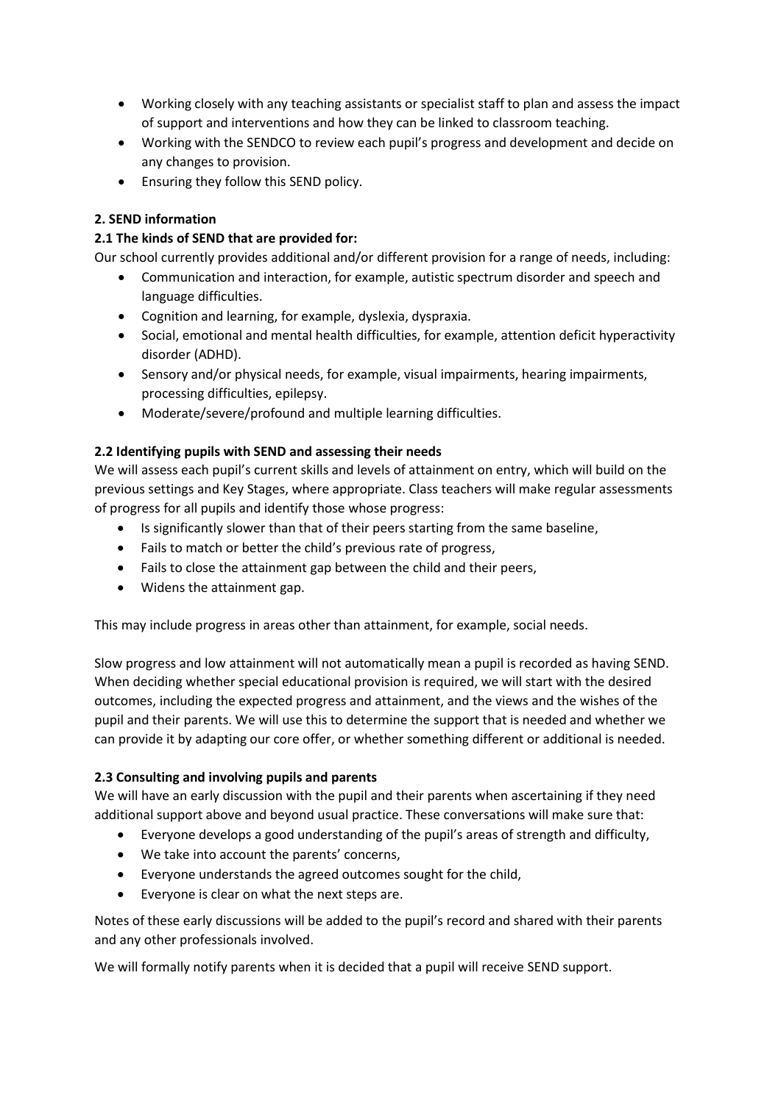- Working closely with any teaching assistants or specialist staff to plan and assess the impact of support and interventions and how they can be linked to classroom teaching.
- Working with the SENDCO to review each pupil's progress and development and decide on any changes to provision.
- Ensuring they follow this SEND policy.

# **2. SEND information**

## **2.1 The kinds of SEND that are provided for:**

Our school currently provides additional and/or different provision for a range of needs, including:

- Communication and interaction, for example, autistic spectrum disorder and speech and language difficulties.
- Cognition and learning, for example, dyslexia, dyspraxia.
- Social, emotional and mental health difficulties, for example, attention deficit hyperactivity disorder (ADHD).
- Sensory and/or physical needs, for example, visual impairments, hearing impairments, processing difficulties, epilepsy.
- Moderate/severe/profound and multiple learning difficulties.

## **2.2 Identifying pupils with SEND and assessing their needs**

We will assess each pupil's current skills and levels of attainment on entry, which will build on the previous settings and Key Stages, where appropriate. Class teachers will make regular assessments of progress for all pupils and identify those whose progress:

- Is significantly slower than that of their peers starting from the same baseline,
- Fails to match or better the child's previous rate of progress,
- Fails to close the attainment gap between the child and their peers,
- Widens the attainment gap.

This may include progress in areas other than attainment, for example, social needs.

Slow progress and low attainment will not automatically mean a pupil is recorded as having SEND. When deciding whether special educational provision is required, we will start with the desired outcomes, including the expected progress and attainment, and the views and the wishes of the pupil and their parents. We will use this to determine the support that is needed and whether we can provide it by adapting our core offer, or whether something different or additional is needed.

## **2.3 Consulting and involving pupils and parents**

We will have an early discussion with the pupil and their parents when ascertaining if they need additional support above and beyond usual practice. These conversations will make sure that:

- Everyone develops a good understanding of the pupil's areas of strength and difficulty,
- We take into account the parents' concerns,
- Everyone understands the agreed outcomes sought for the child,
- Everyone is clear on what the next steps are.

Notes of these early discussions will be added to the pupil's record and shared with their parents and any other professionals involved.

We will formally notify parents when it is decided that a pupil will receive SEND support.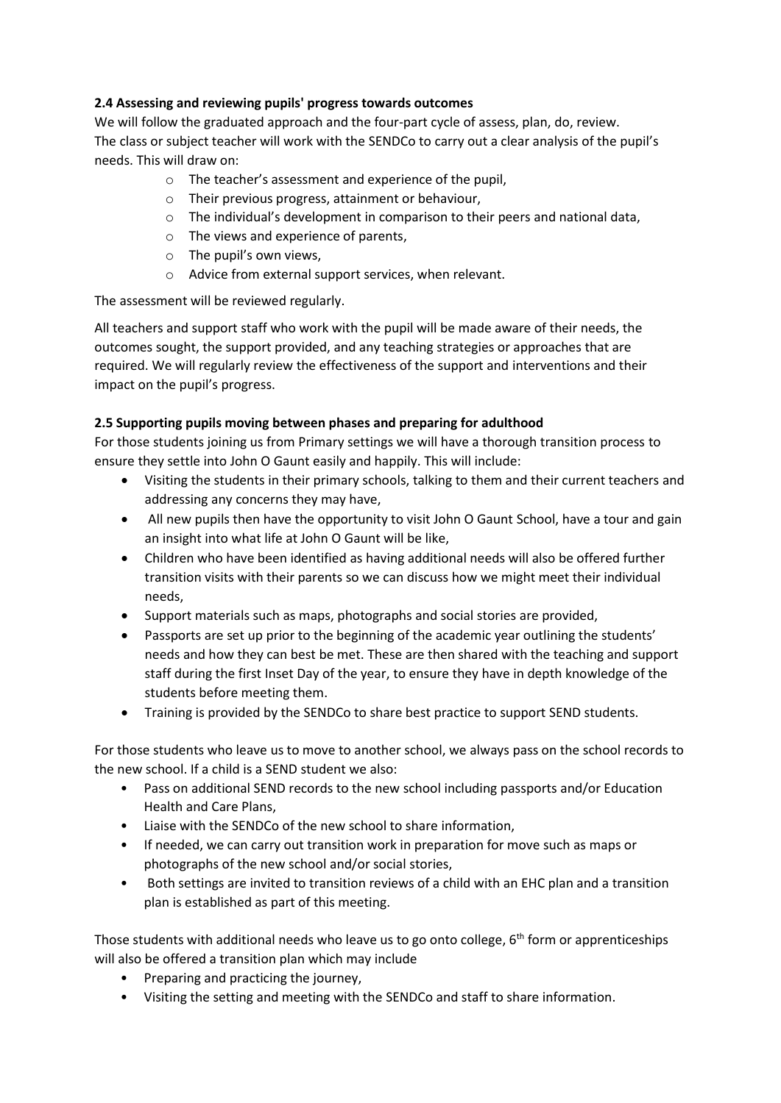# **2.4 Assessing and reviewing pupils' progress towards outcomes**

We will follow the graduated approach and the four-part cycle of assess, plan, do, review. The class or subject teacher will work with the SENDCo to carry out a clear analysis of the pupil's needs. This will draw on:

- o The teacher's assessment and experience of the pupil,
- o Their previous progress, attainment or behaviour,
- o The individual's development in comparison to their peers and national data,
- o The views and experience of parents,
- o The pupil's own views,
- o Advice from external support services, when relevant.

The assessment will be reviewed regularly.

All teachers and support staff who work with the pupil will be made aware of their needs, the outcomes sought, the support provided, and any teaching strategies or approaches that are required. We will regularly review the effectiveness of the support and interventions and their impact on the pupil's progress.

# **2.5 Supporting pupils moving between phases and preparing for adulthood**

For those students joining us from Primary settings we will have a thorough transition process to ensure they settle into John O Gaunt easily and happily. This will include:

- Visiting the students in their primary schools, talking to them and their current teachers and addressing any concerns they may have,
- All new pupils then have the opportunity to visit John O Gaunt School, have a tour and gain an insight into what life at John O Gaunt will be like,
- Children who have been identified as having additional needs will also be offered further transition visits with their parents so we can discuss how we might meet their individual needs,
- Support materials such as maps, photographs and social stories are provided,
- Passports are set up prior to the beginning of the academic year outlining the students' needs and how they can best be met. These are then shared with the teaching and support staff during the first Inset Day of the year, to ensure they have in depth knowledge of the students before meeting them.
- Training is provided by the SENDCo to share best practice to support SEND students.

For those students who leave us to move to another school, we always pass on the school records to the new school. If a child is a SEND student we also:

- Pass on additional SEND records to the new school including passports and/or Education Health and Care Plans,
- Liaise with the SENDCo of the new school to share information,
- If needed, we can carry out transition work in preparation for move such as maps or photographs of the new school and/or social stories,
- Both settings are invited to transition reviews of a child with an EHC plan and a transition plan is established as part of this meeting.

Those students with additional needs who leave us to go onto college,  $6<sup>th</sup>$  form or apprenticeships will also be offered a transition plan which may include

- Preparing and practicing the journey,
- Visiting the setting and meeting with the SENDCo and staff to share information.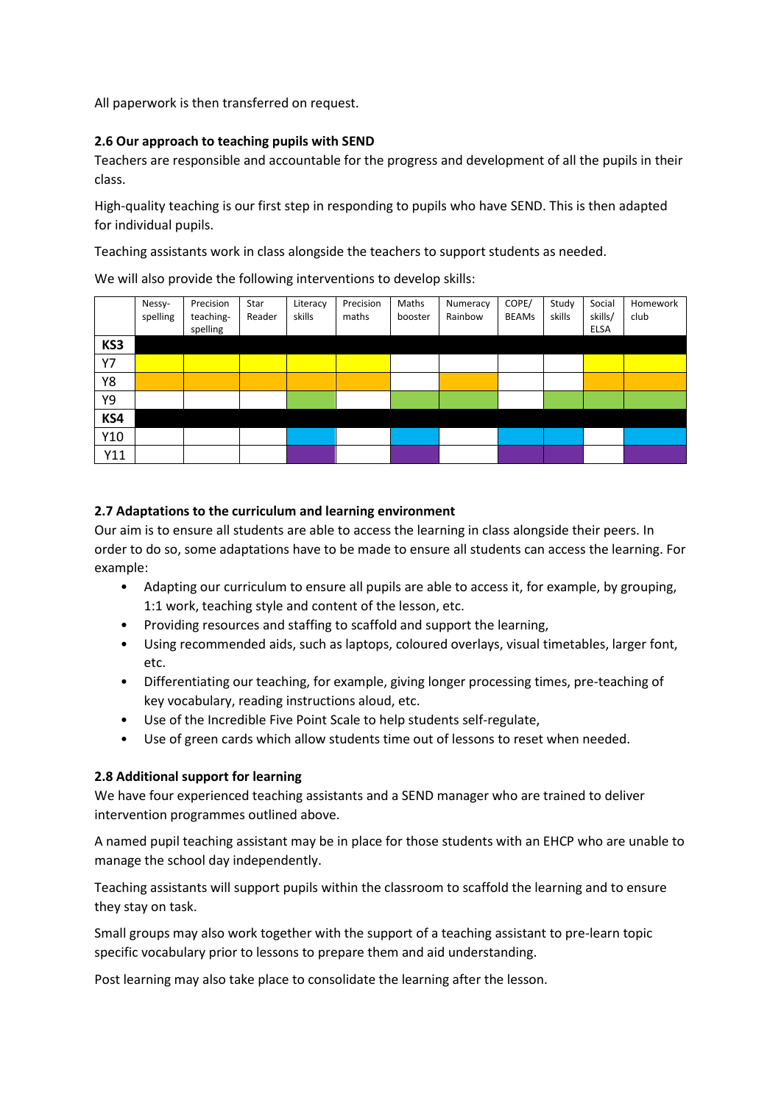All paperwork is then transferred on request.

#### **2.6 Our approach to teaching pupils with SEND**

Teachers are responsible and accountable for the progress and development of all the pupils in their class.

High-quality teaching is our first step in responding to pupils who have SEND. This is then adapted for individual pupils.

Teaching assistants work in class alongside the teachers to support students as needed.

We will also provide the following interventions to develop skills:

|     | Nessy-<br>spelling | Precision<br>teaching-<br>spelling | Star<br>Reader | Literacy<br>skills | Precision<br>maths | Maths<br>booster | Numeracy<br>Rainbow | COPE/<br><b>BEAMs</b> | Study<br>skills | Social<br>skills/<br><b>ELSA</b> | Homework<br>club |
|-----|--------------------|------------------------------------|----------------|--------------------|--------------------|------------------|---------------------|-----------------------|-----------------|----------------------------------|------------------|
| KS3 |                    |                                    |                |                    |                    |                  |                     |                       |                 |                                  |                  |
| Y7  |                    |                                    |                |                    |                    |                  |                     |                       |                 |                                  |                  |
| Y8  |                    |                                    |                |                    |                    |                  |                     |                       |                 |                                  |                  |
| Υ9  |                    |                                    |                |                    |                    |                  |                     |                       |                 |                                  |                  |
| KS4 |                    |                                    |                |                    |                    |                  |                     |                       |                 |                                  |                  |
| Y10 |                    |                                    |                |                    |                    |                  |                     |                       |                 |                                  |                  |
| Y11 |                    |                                    |                |                    |                    |                  |                     |                       |                 |                                  |                  |

#### **2.7 Adaptations to the curriculum and learning environment**

Our aim is to ensure all students are able to access the learning in class alongside their peers. In order to do so, some adaptations have to be made to ensure all students can access the learning. For example:

- Adapting our curriculum to ensure all pupils are able to access it, for example, by grouping, 1:1 work, teaching style and content of the lesson, etc.
- Providing resources and staffing to scaffold and support the learning,
- Using recommended aids, such as laptops, coloured overlays, visual timetables, larger font, etc.
- Differentiating our teaching, for example, giving longer processing times, pre-teaching of key vocabulary, reading instructions aloud, etc.
- Use of the Incredible Five Point Scale to help students self-regulate,
- Use of green cards which allow students time out of lessons to reset when needed.

#### **2.8 Additional support for learning**

We have four experienced teaching assistants and a SEND manager who are trained to deliver intervention programmes outlined above.

A named pupil teaching assistant may be in place for those students with an EHCP who are unable to manage the school day independently.

Teaching assistants will support pupils within the classroom to scaffold the learning and to ensure they stay on task.

Small groups may also work together with the support of a teaching assistant to pre-learn topic specific vocabulary prior to lessons to prepare them and aid understanding.

Post learning may also take place to consolidate the learning after the lesson.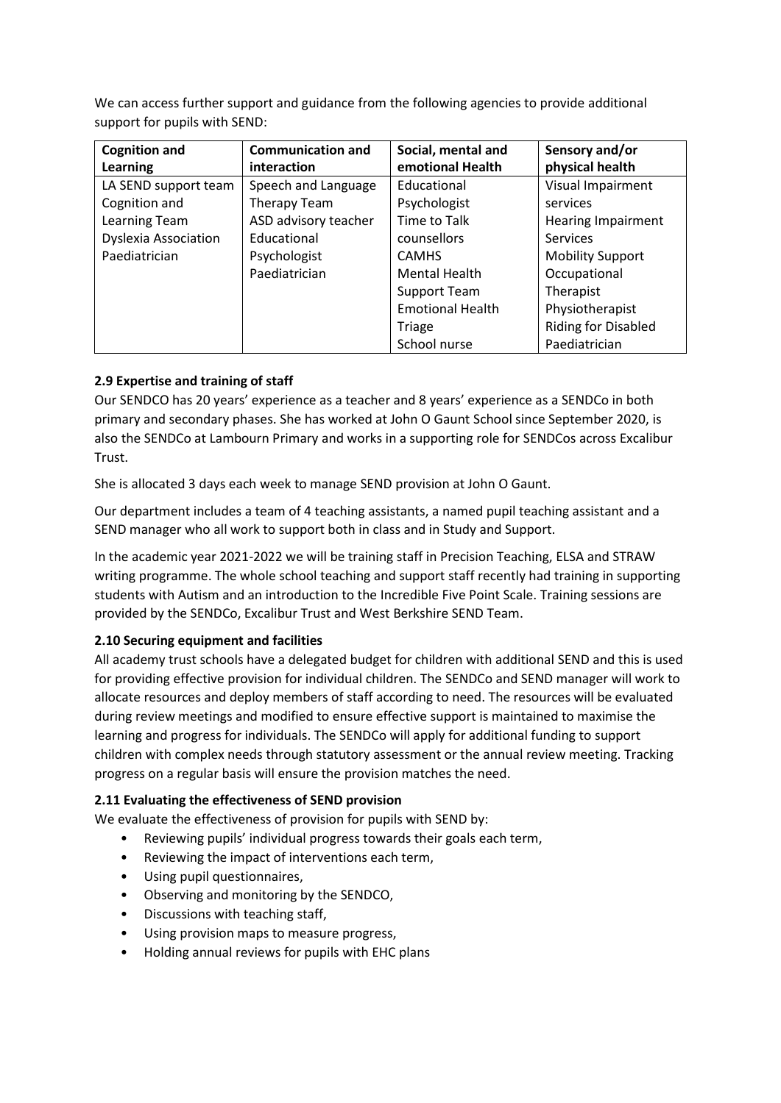We can access further support and guidance from the following agencies to provide additional support for pupils with SEND:

| <b>Cognition and</b>        | <b>Communication and</b> | Social, mental and      | Sensory and/or             |
|-----------------------------|--------------------------|-------------------------|----------------------------|
| Learning                    | interaction              | emotional Health        | physical health            |
| LA SEND support team        | Speech and Language      | Educational             | Visual Impairment          |
| Cognition and               | Therapy Team             | Psychologist            | services                   |
| Learning Team               | ASD advisory teacher     | Time to Talk            | <b>Hearing Impairment</b>  |
| <b>Dyslexia Association</b> | Educational              | counsellors             | Services                   |
| Paediatrician               | Psychologist             | <b>CAMHS</b>            | <b>Mobility Support</b>    |
|                             | Paediatrician            | <b>Mental Health</b>    | Occupational               |
|                             |                          | <b>Support Team</b>     | Therapist                  |
|                             |                          | <b>Emotional Health</b> | Physiotherapist            |
|                             |                          | <b>Triage</b>           | <b>Riding for Disabled</b> |
|                             |                          | School nurse            | Paediatrician              |

# **2.9 Expertise and training of staff**

Our SENDCO has 20 years' experience as a teacher and 8 years' experience as a SENDCo in both primary and secondary phases. She has worked at John O Gaunt School since September 2020, is also the SENDCo at Lambourn Primary and works in a supporting role for SENDCos across Excalibur Trust.

She is allocated 3 days each week to manage SEND provision at John O Gaunt.

Our department includes a team of 4 teaching assistants, a named pupil teaching assistant and a SEND manager who all work to support both in class and in Study and Support.

In the academic year 2021-2022 we will be training staff in Precision Teaching, ELSA and STRAW writing programme. The whole school teaching and support staff recently had training in supporting students with Autism and an introduction to the Incredible Five Point Scale. Training sessions are provided by the SENDCo, Excalibur Trust and West Berkshire SEND Team.

## **2.10 Securing equipment and facilities**

All academy trust schools have a delegated budget for children with additional SEND and this is used for providing effective provision for individual children. The SENDCo and SEND manager will work to allocate resources and deploy members of staff according to need. The resources will be evaluated during review meetings and modified to ensure effective support is maintained to maximise the learning and progress for individuals. The SENDCo will apply for additional funding to support children with complex needs through statutory assessment or the annual review meeting. Tracking progress on a regular basis will ensure the provision matches the need.

## **2.11 Evaluating the effectiveness of SEND provision**

We evaluate the effectiveness of provision for pupils with SEND by:

- Reviewing pupils' individual progress towards their goals each term,
- Reviewing the impact of interventions each term,
- Using pupil questionnaires,
- Observing and monitoring by the SENDCO,
- Discussions with teaching staff,
- Using provision maps to measure progress,
- Holding annual reviews for pupils with EHC plans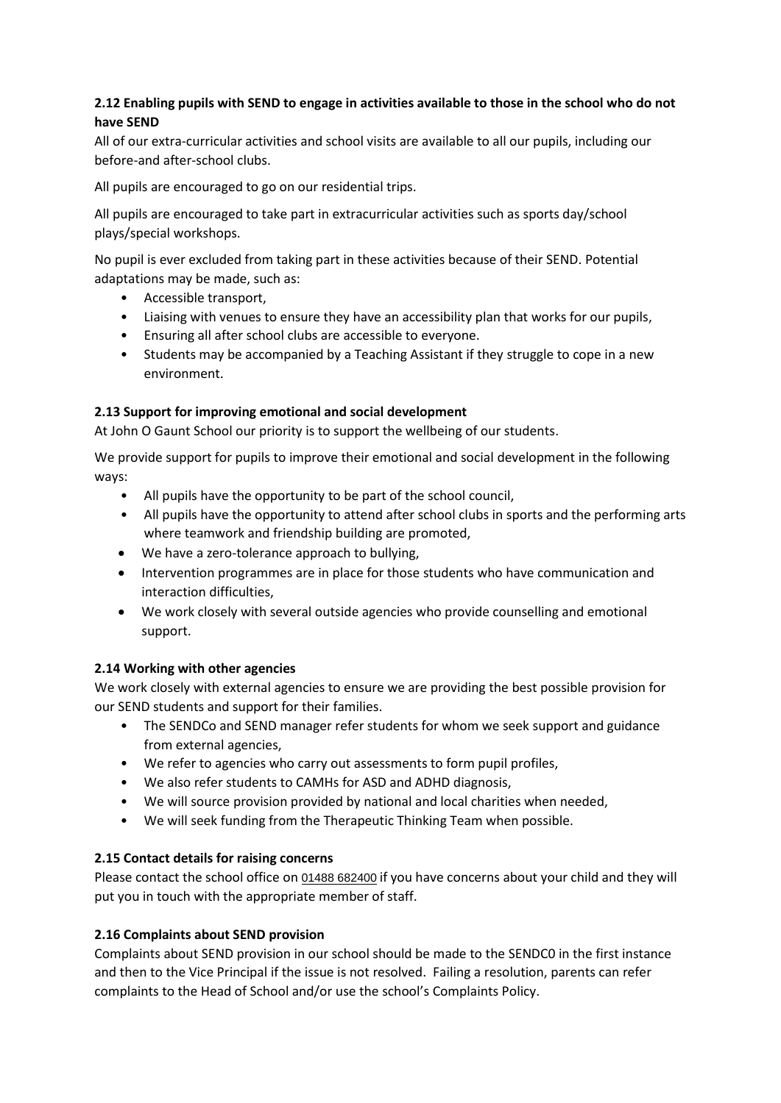# **2.12 Enabling pupils with SEND to engage in activities available to those in the school who do not have SEND**

All of our extra-curricular activities and school visits are available to all our pupils, including our before-and after-school clubs.

All pupils are encouraged to go on our residential trips.

All pupils are encouraged to take part in extracurricular activities such as sports day/school plays/special workshops.

No pupil is ever excluded from taking part in these activities because of their SEND. Potential adaptations may be made, such as:

- Accessible transport,
- Liaising with venues to ensure they have an accessibility plan that works for our pupils,
- Ensuring all after school clubs are accessible to everyone.
- Students may be accompanied by a Teaching Assistant if they struggle to cope in a new environment.

## **2.13 Support for improving emotional and social development**

At John O Gaunt School our priority is to support the wellbeing of our students.

We provide support for pupils to improve their emotional and social development in the following ways:

- All pupils have the opportunity to be part of the school council,
- All pupils have the opportunity to attend after school clubs in sports and the performing arts where teamwork and friendship building are promoted,
- We have a zero-tolerance approach to bullying,
- Intervention programmes are in place for those students who have communication and interaction difficulties,
- We work closely with several outside agencies who provide counselling and emotional support.

#### **2.14 Working with other agencies**

We work closely with external agencies to ensure we are providing the best possible provision for our SEND students and support for their families.

- The SENDCo and SEND manager refer students for whom we seek support and guidance from external agencies,
- We refer to agencies who carry out assessments to form pupil profiles,
- We also refer students to CAMHs for ASD and ADHD diagnosis,
- We will source provision provided by national and local charities when needed,
- We will seek funding from the Therapeutic Thinking Team when possible.

## **2.15 Contact details for raising concerns**

Please contact the school office on [01488 682400](https://www.google.com/search?q=john+o+gaunt+school&rlz=1C1GCEV_enGB920GB920&oq=john+o&aqs=chrome.0.69i59j46i39i175i199j69i57j46i433j46i131i433j0i131i433j46i433l2j0i131i433j46i433.3152j0j15&sourceid=chrome&ie=UTF-8) if you have concerns about your child and they will put you in touch with the appropriate member of staff.

## **2.16 Complaints about SEND provision**

Complaints about SEND provision in our school should be made to the SENDC0 in the first instance and then to the Vice Principal if the issue is not resolved. Failing a resolution, parents can refer complaints to the Head of School and/or use the school's Complaints Policy.